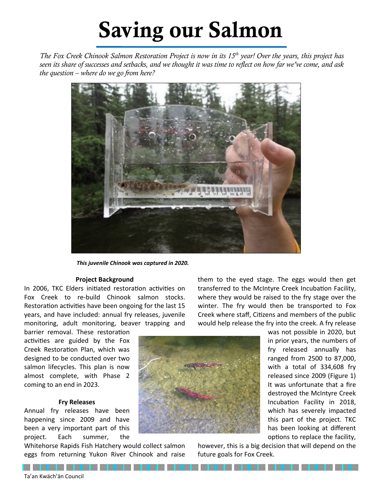# Saving our Salmon

*The Fox Creek Chinook Salmon Restoration Project is now in its 15th year! Over the years, this project has seen its share of successes and setbacks, and we thought it was time to reflect on how far we've come, and ask the question – where do we go from here?* 



*This juvenile Chinook was captured in 2020.*

#### **Project Background**

In 2006, TKC Elders initiated restoration activities on Fox Creek to re-build Chinook salmon stocks. Restoration activities have been ongoing for the last 15 years, and have included: annual fry releases, juvenile monitoring, adult monitoring, beaver trapping and

barrier removal. These restoration activities are guided by the Fox Creek Restoration Plan, which was designed to be conducted over two salmon lifecycles. This plan is now almost complete, with Phase 2 coming to an end in 2023.

#### **Fry Releases**

Annual fry releases have been happening since 2009 and have been a very important part of this project. Each summer, the

. . . . . . . . . . . .

Whitehorse Rapids Fish Hatchery would collect salmon eggs from returning Yukon River Chinook and raise

them to the eyed stage. The eggs would then get transferred to the McIntyre Creek Incubation Facility, where they would be raised to the fry stage over the winter. The fry would then be transported to Fox Creek where staff, Citizens and members of the public would help release the fry into the creek. A fry release



was not possible in 2020, but in prior years, the numbers of fry released annually has ranged from 2500 to 87,000, with a total of 334,608 fry released since 2009 (Figure 1) It was unfortunate that a fire destroyed the McIntyre Creek Incubation Facility in 2018, which has severely impacted this part of the project. TKC has been looking at different options to replace the facility,

however, this is a big decision that will depend on the future goals for Fox Creek.

. . . . . .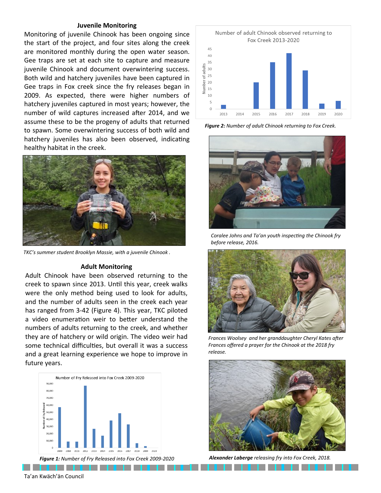#### **Juvenile Monitoring**

Monitoring of juvenile Chinook has been ongoing since the start of the project, and four sites along the creek are monitored monthly during the open water season. Gee traps are set at each site to capture and measure juvenile Chinook and document overwintering success. Both wild and hatchery juveniles have been captured in Gee traps in Fox creek since the fry releases began in 2009. As expected, there were higher numbers of hatchery juveniles captured in most years; however, the number of wild captures increased after 2014, and we assume these to be the progeny of adults that returned to spawn. Some overwintering success of both wild and hatchery juveniles has also been observed, indicating healthy habitat in the creek.



*TKC's summer student Brooklyn Massie, with a juvenile Chinook .*

#### **Adult Monitoring**

Adult Chinook have been observed returning to the creek to spawn since 2013. Until this year, creek walks were the only method being used to look for adults, and the number of adults seen in the creek each year has ranged from 3-42 (Figure 4). This year, TKC piloted a video enumeration weir to better understand the numbers of adults returning to the creek, and whether they are of hatchery or wild origin. The video weir had some technical difficulties, but overall it was a success and a great learning experience we hope to improve in future years.





*Figure 2: Number of adult Chinook returning to Fox Creek.* 



*Coralee Johns and Ta'an youth inspecting the Chinook fry before release, 2016.*



*Frances Woolsey and her granddaughter Cheryl Kates after Frances offered a prayer for the Chinook at the 2018 fry release.*



. . . . . . . . . . . .